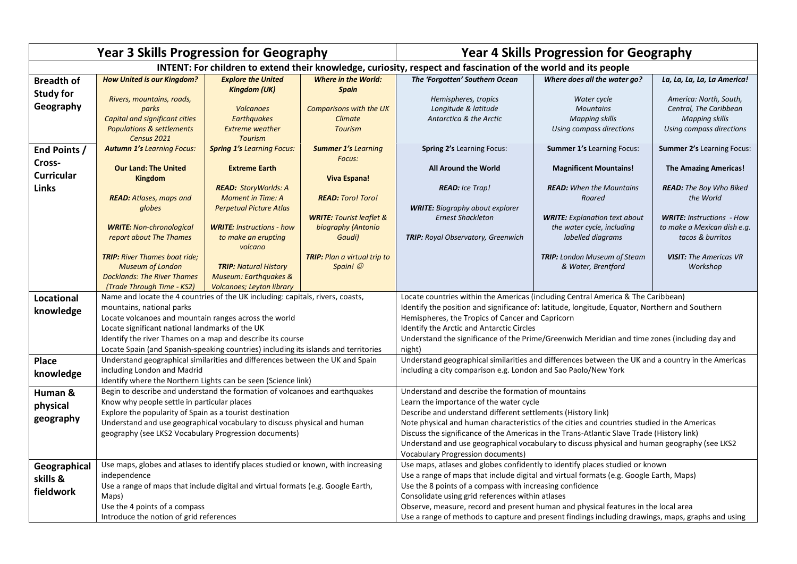| <b>Year 3 Skills Progression for Geography</b>                                                                 |                                                                                                                                                                                                                                                                                                                                                                                              |                                                                                                      |                                                                     | <b>Year 4 Skills Progression for Geography</b>                                                                                                                                                                                                                                                                                                                                                                                                                                                         |                                                                                                   |                                                                                                       |  |
|----------------------------------------------------------------------------------------------------------------|----------------------------------------------------------------------------------------------------------------------------------------------------------------------------------------------------------------------------------------------------------------------------------------------------------------------------------------------------------------------------------------------|------------------------------------------------------------------------------------------------------|---------------------------------------------------------------------|--------------------------------------------------------------------------------------------------------------------------------------------------------------------------------------------------------------------------------------------------------------------------------------------------------------------------------------------------------------------------------------------------------------------------------------------------------------------------------------------------------|---------------------------------------------------------------------------------------------------|-------------------------------------------------------------------------------------------------------|--|
| INTENT: For children to extend their knowledge, curiosity, respect and fascination of the world and its people |                                                                                                                                                                                                                                                                                                                                                                                              |                                                                                                      |                                                                     |                                                                                                                                                                                                                                                                                                                                                                                                                                                                                                        |                                                                                                   |                                                                                                       |  |
| <b>Breadth of</b>                                                                                              | <b>How United is our Kingdom?</b>                                                                                                                                                                                                                                                                                                                                                            | <b>Explore the United</b><br><b>Kingdom (UK)</b>                                                     | <b>Where in the World:</b><br><b>Spain</b>                          | The 'Forgotten' Southern Ocean                                                                                                                                                                                                                                                                                                                                                                                                                                                                         | Where does all the water go?                                                                      | La, La, La, La, La America!                                                                           |  |
| <b>Study for</b><br>Geography                                                                                  | Rivers, mountains, roads,<br>parks<br>Capital and significant cities<br><b>Populations &amp; settlements</b><br>Census 2021                                                                                                                                                                                                                                                                  | <b>Volcanoes</b><br><b>Earthquakes</b><br><b>Extreme weather</b><br><b>Tourism</b>                   | <b>Comparisons with the UK</b><br><b>Climate</b><br><b>Tourism</b>  | Hemispheres, tropics<br>Longitude & latitude<br>Antarctica & the Arctic                                                                                                                                                                                                                                                                                                                                                                                                                                | Water cycle<br><b>Mountains</b><br><b>Mapping skills</b><br>Using compass directions              | America: North, South,<br>Central, The Caribbean<br><b>Mapping skills</b><br>Using compass directions |  |
| End Points /                                                                                                   | <b>Autumn 1's Learning Focus:</b>                                                                                                                                                                                                                                                                                                                                                            | <b>Spring 1's Learning Focus:</b>                                                                    | <b>Summer 1's Learning</b>                                          | Spring 2's Learning Focus:                                                                                                                                                                                                                                                                                                                                                                                                                                                                             | <b>Summer 1's Learning Focus:</b>                                                                 | <b>Summer 2's Learning Focus:</b>                                                                     |  |
| Cross-<br><b>Curricular</b><br><b>Links</b>                                                                    | <b>Our Land: The United</b><br><b>Kingdom</b>                                                                                                                                                                                                                                                                                                                                                | <b>Extreme Earth</b><br><b>READ: StoryWorlds: A</b>                                                  | Focus:<br><b>Viva Espana!</b>                                       | <b>All Around the World</b><br><b>READ:</b> Ice Trap!                                                                                                                                                                                                                                                                                                                                                                                                                                                  | <b>Magnificent Mountains!</b><br><b>READ:</b> When the Mountains                                  | <b>The Amazing Americas!</b><br><b>READ:</b> The Boy Who Biked                                        |  |
|                                                                                                                | <b>READ:</b> Atlases, maps and                                                                                                                                                                                                                                                                                                                                                               | <b>Moment in Time: A</b>                                                                             | <b>READ: Toro! Toro!</b>                                            |                                                                                                                                                                                                                                                                                                                                                                                                                                                                                                        | Roared                                                                                            | the World                                                                                             |  |
|                                                                                                                | globes<br><b>WRITE: Non-chronological</b><br>report about The Thames                                                                                                                                                                                                                                                                                                                         | <b>Perpetual Picture Atlas</b><br><b>WRITE: Instructions - how</b><br>to make an erupting<br>volcano | <b>WRITE: Tourist leaflet &amp;</b><br>biography (Antonio<br>Gaudi) | <b>WRITE:</b> Biography about explorer<br><b>Ernest Shackleton</b><br>TRIP: Royal Observatory, Greenwich                                                                                                                                                                                                                                                                                                                                                                                               | <b>WRITE:</b> Explanation text about<br>the water cycle, including<br>labelled diagrams           | <b>WRITE: Instructions - How</b><br>to make a Mexican dish e.g.<br>tacos & burritos                   |  |
|                                                                                                                | <b>TRIP:</b> River Thames boat ride;<br><b>Museum of London</b><br><b>Docklands: The River Thames</b><br>(Trade Through Time - KS2)                                                                                                                                                                                                                                                          | <b>TRIP: Natural History</b><br><b>Museum: Earthquakes &amp;</b><br><b>Volcanoes; Leyton library</b> | <b>TRIP:</b> Plan a virtual trip to<br>Spain!                       |                                                                                                                                                                                                                                                                                                                                                                                                                                                                                                        | <b>TRIP:</b> London Museum of Steam<br>& Water, Brentford                                         | <b>VISIT:</b> The Americas VR<br>Workshop                                                             |  |
| Locational                                                                                                     | Name and locate the 4 countries of the UK including: capitals, rivers, coasts,                                                                                                                                                                                                                                                                                                               |                                                                                                      |                                                                     | Locate countries within the Americas (including Central America & The Caribbean)                                                                                                                                                                                                                                                                                                                                                                                                                       |                                                                                                   |                                                                                                       |  |
| knowledge                                                                                                      | mountains, national parks<br>Locate volcanoes and mountain ranges across the world<br>Locate significant national landmarks of the UK<br>Identify the river Thames on a map and describe its course                                                                                                                                                                                          |                                                                                                      |                                                                     | Identify the position and significance of: latitude, longitude, Equator, Northern and Southern<br>Hemispheres, the Tropics of Cancer and Capricorn<br>Identify the Arctic and Antarctic Circles<br>Understand the significance of the Prime/Greenwich Meridian and time zones (including day and<br>night)                                                                                                                                                                                             |                                                                                                   |                                                                                                       |  |
| <b>Place</b>                                                                                                   | Locate Spain (and Spanish-speaking countries) including its islands and territories<br>Understand geographical similarities and differences between the UK and Spain                                                                                                                                                                                                                         |                                                                                                      |                                                                     | Understand geographical similarities and differences between the UK and a country in the Americas                                                                                                                                                                                                                                                                                                                                                                                                      |                                                                                                   |                                                                                                       |  |
| knowledge                                                                                                      | including London and Madrid                                                                                                                                                                                                                                                                                                                                                                  |                                                                                                      |                                                                     | including a city comparison e.g. London and Sao Paolo/New York                                                                                                                                                                                                                                                                                                                                                                                                                                         |                                                                                                   |                                                                                                       |  |
| Human &<br>physical<br>geography                                                                               | Identify where the Northern Lights can be seen (Science link)<br>Begin to describe and understand the formation of volcanoes and earthquakes<br>Know why people settle in particular places<br>Explore the popularity of Spain as a tourist destination<br>Understand and use geographical vocabulary to discuss physical and human<br>geography (see LKS2 Vocabulary Progression documents) |                                                                                                      |                                                                     | Understand and describe the formation of mountains<br>Learn the importance of the water cycle<br>Describe and understand different settlements (History link)<br>Note physical and human characteristics of the cities and countries studied in the Americas<br>Discuss the significance of the Americas in the Trans-Atlantic Slave Trade (History link)<br>Understand and use geographical vocabulary to discuss physical and human geography (see LKS2)<br><b>Vocabulary Progression documents)</b> |                                                                                                   |                                                                                                       |  |
| Geographical<br>skills &<br>fieldwork                                                                          | Use maps, globes and atlases to identify places studied or known, with increasing<br>independence<br>Use a range of maps that include digital and virtual formats (e.g. Google Earth,<br>Maps)<br>Use the 4 points of a compass                                                                                                                                                              |                                                                                                      |                                                                     | Use maps, atlases and globes confidently to identify places studied or known<br>Use a range of maps that include digital and virtual formats (e.g. Google Earth, Maps)<br>Use the 8 points of a compass with increasing confidence<br>Consolidate using grid references within atlases<br>Observe, measure, record and present human and physical features in the local area                                                                                                                           |                                                                                                   |                                                                                                       |  |
|                                                                                                                |                                                                                                                                                                                                                                                                                                                                                                                              | Introduce the notion of grid references                                                              |                                                                     |                                                                                                                                                                                                                                                                                                                                                                                                                                                                                                        | Use a range of methods to capture and present findings including drawings, maps, graphs and using |                                                                                                       |  |